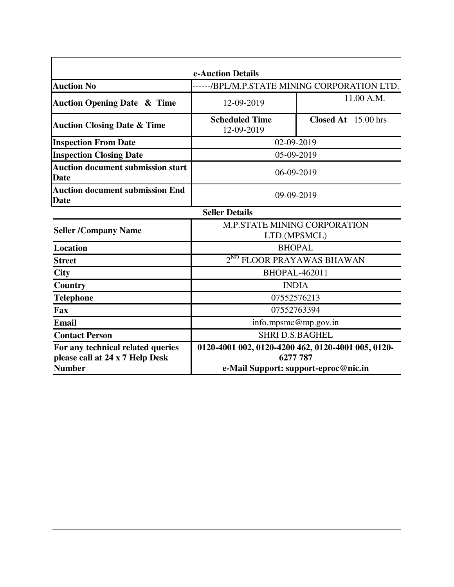| e-Auction Details                                       |                                                    |                     |  |  |  |  |
|---------------------------------------------------------|----------------------------------------------------|---------------------|--|--|--|--|
| <b>Auction No</b>                                       | -----/BPL/M.P.STATE MINING CORPORATION LTD.        |                     |  |  |  |  |
| <b>Auction Opening Date &amp; Time</b>                  | 12-09-2019                                         | 11.00 A.M.          |  |  |  |  |
| <b>Auction Closing Date &amp; Time</b>                  | <b>Scheduled Time</b><br>12-09-2019                | Closed At 15.00 hrs |  |  |  |  |
| <b>Inspection From Date</b>                             | 02-09-2019                                         |                     |  |  |  |  |
| <b>Inspection Closing Date</b>                          | 05-09-2019                                         |                     |  |  |  |  |
| <b>Auction document submission start</b><br><b>Date</b> | 06-09-2019                                         |                     |  |  |  |  |
| <b>Auction document submission End</b><br><b>Date</b>   | 09-09-2019                                         |                     |  |  |  |  |
|                                                         | <b>Seller Details</b>                              |                     |  |  |  |  |
| <b>Seller /Company Name</b>                             | <b>M.P.STATE MINING CORPORATION</b>                |                     |  |  |  |  |
|                                                         | LTD.(MPSMCL)                                       |                     |  |  |  |  |
| Location                                                | <b>BHOPAL</b>                                      |                     |  |  |  |  |
| <b>Street</b>                                           | $2^{ND}$<br><b>FLOOR PRAYAWAS BHAWAN</b>           |                     |  |  |  |  |
| <b>City</b>                                             | <b>BHOPAL-462011</b>                               |                     |  |  |  |  |
| <b>Country</b>                                          | <b>INDIA</b>                                       |                     |  |  |  |  |
| <b>Telephone</b>                                        | 07552576213                                        |                     |  |  |  |  |
| Fax                                                     | 07552763394                                        |                     |  |  |  |  |
| <b>Email</b>                                            | info.mpsmc@mp.gov.in                               |                     |  |  |  |  |
| <b>Contact Person</b>                                   | <b>SHRI D.S.BAGHEL</b>                             |                     |  |  |  |  |
| For any technical related queries                       | 0120-4001 002, 0120-4200 462, 0120-4001 005, 0120- |                     |  |  |  |  |
| please call at 24 x 7 Help Desk                         | 6277 787                                           |                     |  |  |  |  |
| <b>Number</b>                                           | e-Mail Support: support-eproc@nic.in               |                     |  |  |  |  |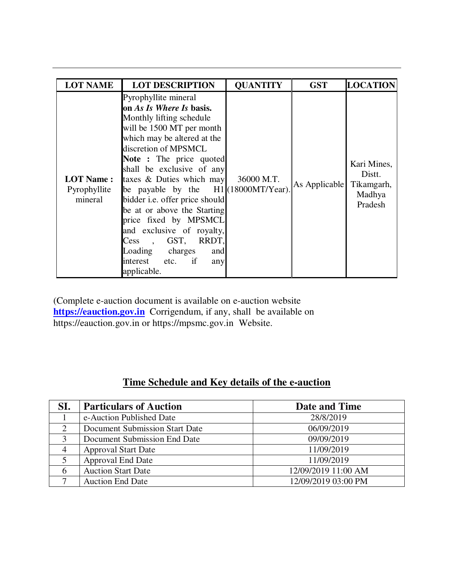| <b>LOT NAME</b>                             | <b>LOT DESCRIPTION</b>                                                                                                                                                                                                                                                                                                                                                                                                                                                                                                                      | <b>QUANTITY</b> | <b>GST</b>               | <b>LOCATION</b>                            |
|---------------------------------------------|---------------------------------------------------------------------------------------------------------------------------------------------------------------------------------------------------------------------------------------------------------------------------------------------------------------------------------------------------------------------------------------------------------------------------------------------------------------------------------------------------------------------------------------------|-----------------|--------------------------|--------------------------------------------|
| <b>LOT Name:</b><br>Pyrophyllite<br>mineral | Pyrophyllite mineral<br>on As Is Where Is basis.<br>Monthly lifting schedule<br>will be 1500 MT per month<br>which may be altered at the<br>discretion of MPSMCL<br>Note : The price quoted<br>shall be exclusive of any<br>taxes $\&$ Duties which may<br>be payable by the H1(18000MT/Year).<br>bidder i.e. offer price should<br>be at or above the Starting<br>price fixed by MPSMCL<br>and exclusive of royalty,<br>GST, RRDT,<br>Cess<br>$\overline{\phantom{a}}$<br>Loading charges<br>and<br>interest etc. if<br>any<br>applicable. | 36000 M.T.      | As Applicable Tikamgarh, | Kari Mines,<br>Distt.<br>Madhya<br>Pradesh |

(Complete e-auction document is available on e-auction website **https://eauction.gov.in** Corrigendum, if any, shall be available on https://eauction.gov.in or https://mpsmc.gov.in Website.

## **Time Schedule and Key details of the e-auction**

| SI. | <b>Particulars of Auction</b>  | Date and Time       |
|-----|--------------------------------|---------------------|
|     | e-Auction Published Date       | 28/8/2019           |
| ∍   | Document Submission Start Date | 06/09/2019          |
| 3   | Document Submission End Date   | 09/09/2019          |
|     | <b>Approval Start Date</b>     | 11/09/2019          |
|     | <b>Approval End Date</b>       | 11/09/2019          |
| 6   | <b>Auction Start Date</b>      | 12/09/2019 11:00 AM |
|     | <b>Auction End Date</b>        | 12/09/2019 03:00 PM |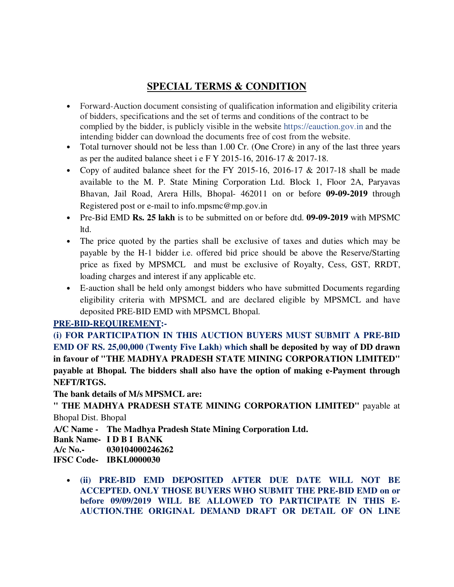# **SPECIAL TERMS & CONDITION**

- Forward-Auction document consisting of qualification information and eligibility criteria of bidders, specifications and the set of terms and conditions of the contract to be complied by the bidder, is publicly visible in the website https://eauction.gov.in and the intending bidder can download the documents free of cost from the website.
- Total turnover should not be less than 1.00 Cr. (One Crore) in any of the last three years as per the audited balance sheet i e F Y 2015-16, 2016-17 & 2017-18.
- Copy of audited balance sheet for the FY 2015-16, 2016-17 & 2017-18 shall be made available to the M. P. State Mining Corporation Ltd. Block 1, Floor 2A, Paryavas Bhavan, Jail Road, Arera Hills, Bhopal- 462011 on or before **09-09-2019** through Registered post or e-mail to info.mpsmc@mp.gov.in
- Pre-Bid EMD **Rs. 25 lakh** is to be submitted on or before dtd. **09-09-2019** with MPSMC ltd.
- The price quoted by the parties shall be exclusive of taxes and duties which may be payable by the H-1 bidder i.e. offered bid price should be above the Reserve/Starting price as fixed by MPSMCL and must be exclusive of Royalty, Cess, GST, RRDT, loading charges and interest if any applicable etc.
- E-auction shall be held only amongst bidders who have submitted Documents regarding eligibility criteria with MPSMCL and are declared eligible by MPSMCL and have deposited PRE-BID EMD with MPSMCL Bhopal.

## **PRE-BID-REQUIREMENT:-**

**(i) FOR PARTICIPATION IN THIS AUCTION BUYERS MUST SUBMIT A PRE-BID EMD OF RS. 25,00,000 (Twenty Five Lakh) which shall be deposited by way of DD drawn in favour of "THE MADHYA PRADESH STATE MINING CORPORATION LIMITED" payable at Bhopal. The bidders shall also have the option of making e-Payment through NEFT/RTGS.** 

**The bank details of M/s MPSMCL are:** 

**" THE MADHYA PRADESH STATE MINING CORPORATION LIMITED"** payable at Bhopal Dist. Bhopal

**A/C Name - The Madhya Pradesh State Mining Corporation Ltd.**

**Bank Name- I D B I BANK** 

**A/c No.- 030104000246262** 

**IFSC Code- IBKL0000030** 

• **(ii) PRE-BID EMD DEPOSITED AFTER DUE DATE WILL NOT BE ACCEPTED. ONLY THOSE BUYERS WHO SUBMIT THE PRE-BID EMD on or before 09/09/2019 WILL BE ALLOWED TO PARTICIPATE IN THIS E-AUCTION.THE ORIGINAL DEMAND DRAFT OR DETAIL OF ON LINE**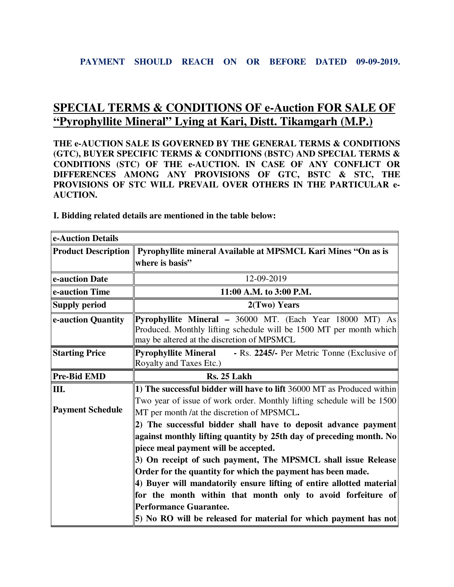# **SPECIAL TERMS & CONDITIONS OF e-Auction FOR SALE OF "Pyrophyllite Mineral" Lying at Kari, Distt. Tikamgarh (M.P.)**

**THE e-AUCTION SALE IS GOVERNED BY THE GENERAL TERMS & CONDITIONS (GTC), BUYER SPECIFIC TERMS & CONDITIONS (BSTC) AND SPECIAL TERMS & CONDITIONS (STC) OF THE e-AUCTION. IN CASE OF ANY CONFLICT OR DIFFERENCES AMONG ANY PROVISIONS OF GTC, BSTC & STC, THE PROVISIONS OF STC WILL PREVAIL OVER OTHERS IN THE PARTICULAR e-AUCTION.** 

| e-Auction Details       |                                                                                                                                                                                     |  |  |  |
|-------------------------|-------------------------------------------------------------------------------------------------------------------------------------------------------------------------------------|--|--|--|
|                         | Product Description    Pyrophyllite mineral Available at MPSMCL Kari Mines "On as is                                                                                                |  |  |  |
|                         | where is basis"                                                                                                                                                                     |  |  |  |
| e-auction Date          | 12-09-2019                                                                                                                                                                          |  |  |  |
| e-auction Time          | 11:00 A.M. to 3:00 P.M.                                                                                                                                                             |  |  |  |
| <b>Supply period</b>    | 2(Two) Years                                                                                                                                                                        |  |  |  |
| e-auction Quantity      | <b>Pyrophyllite Mineral - 36000 MT.</b> (Each Year 18000 MT) As<br>Produced. Monthly lifting schedule will be 1500 MT per month which<br>may be altered at the discretion of MPSMCL |  |  |  |
| <b>Starting Price</b>   | <b>Pyrophyllite Mineral</b><br>- Rs. 2245/- Per Metric Tonne (Exclusive of<br>Royalty and Taxes Etc.)                                                                               |  |  |  |
| <b>Pre-Bid EMD</b>      | Rs. 25 Lakh                                                                                                                                                                         |  |  |  |
| Ш.                      | 1) The successful bidder will have to lift 36000 MT as Produced within                                                                                                              |  |  |  |
| <b>Payment Schedule</b> | Two year of issue of work order. Monthly lifting schedule will be 1500<br>MT per month /at the discretion of MPSMCL.                                                                |  |  |  |
|                         | 2) The successful bidder shall have to deposit advance payment                                                                                                                      |  |  |  |
|                         | against monthly lifting quantity by 25th day of preceding month. No                                                                                                                 |  |  |  |
|                         | piece meal payment will be accepted.                                                                                                                                                |  |  |  |
|                         | 3) On receipt of such payment, The MPSMCL shall issue Release                                                                                                                       |  |  |  |
|                         | Order for the quantity for which the payment has been made.                                                                                                                         |  |  |  |
|                         | 4) Buyer will mandatorily ensure lifting of entire allotted material                                                                                                                |  |  |  |
|                         | for the month within that month only to avoid forfeiture of                                                                                                                         |  |  |  |
|                         | <b>Performance Guarantee.</b>                                                                                                                                                       |  |  |  |
|                         | 5) No RO will be released for material for which payment has not                                                                                                                    |  |  |  |

**I. Bidding related details are mentioned in the table below:**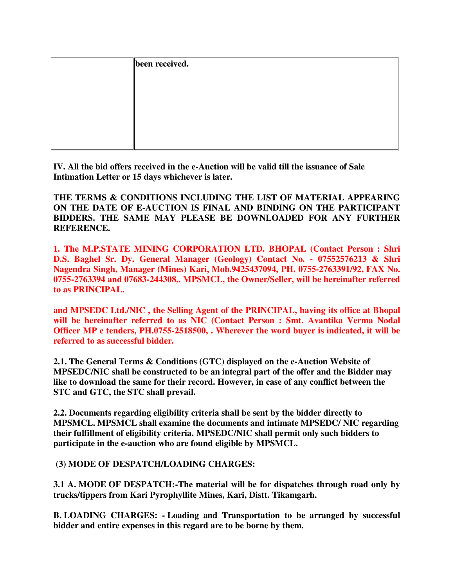| been received. |  |
|----------------|--|
|                |  |
|                |  |
|                |  |
|                |  |
|                |  |
|                |  |

**IV. All the bid offers received in the e-Auction will be valid till the issuance of Sale Intimation Letter or 15 days whichever is later.** 

**THE TERMS & CONDITIONS INCLUDING THE LIST OF MATERIAL APPEARING ON THE DATE OF E-AUCTION IS FINAL AND BINDING ON THE PARTICIPANT BIDDERS. THE SAME MAY PLEASE BE DOWNLOADED FOR ANY FURTHER REFERENCE.** 

**1. The M.P.STATE MINING CORPORATION LTD. BHOPAL (Contact Person : Shri D.S. Baghel Sr. Dy. General Manager (Geology) Contact No. - 07552576213 & Shri Nagendra Singh, Manager (Mines) Kari, Mob.9425437094, PH. 0755-2763391/92, FAX No. 0755-2763394 and 07683-244308,. MPSMCL, the Owner/Seller, will be hereinafter referred to as PRINCIPAL.** 

**and MPSEDC Ltd./NIC , the Selling Agent of the PRINCIPAL, having its office at Bhopal will be hereinafter referred to as NIC (Contact Person : Smt. Avantika Verma Nodal Officer MP e tenders, PH.0755-2518500, . Wherever the word buyer is indicated, it will be referred to as successful bidder.**

**2.1. The General Terms & Conditions (GTC) displayed on the e-Auction Website of MPSEDC/NIC shall be constructed to be an integral part of the offer and the Bidder may like to download the same for their record. However, in case of any conflict between the STC and GTC, the STC shall prevail.** 

**2.2. Documents regarding eligibility criteria shall be sent by the bidder directly to MPSMCL. MPSMCL shall examine the documents and intimate MPSEDC/ NIC regarding their fulfillment of eligibility criteria. MPSEDC/NIC shall permit only such bidders to participate in the e-auction who are found eligible by MPSMCL.**

 **(3) MODE OF DESPATCH/LOADING CHARGES:** 

**3.1 A. MODE OF DESPATCH:-The material will be for dispatches through road only by trucks/tippers from Kari Pyrophyllite Mines, Kari, Distt. Tikamgarh.** 

**B. LOADING CHARGES: - Loading and Transportation to be arranged by successful bidder and entire expenses in this regard are to be borne by them.**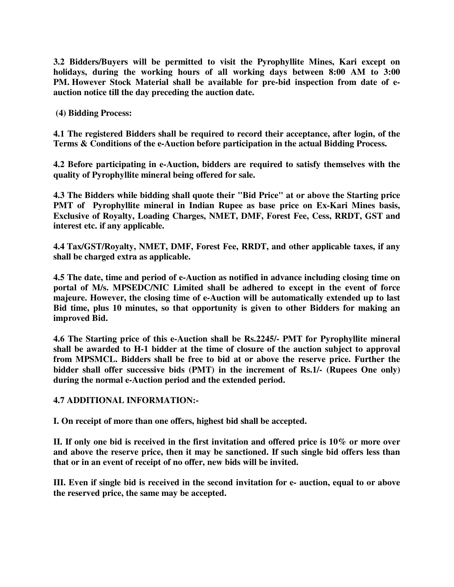**3.2 Bidders/Buyers will be permitted to visit the Pyrophyllite Mines, Kari except on holidays, during the working hours of all working days between 8:00 AM to 3:00 PM. However Stock Material shall be available for pre-bid inspection from date of eauction notice till the day preceding the auction date.** 

 **(4) Bidding Process:** 

**4.1 The registered Bidders shall be required to record their acceptance, after login, of the Terms & Conditions of the e-Auction before participation in the actual Bidding Process.**

**4.2 Before participating in e-Auction, bidders are required to satisfy themselves with the quality of Pyrophyllite mineral being offered for sale.** 

**4.3 The Bidders while bidding shall quote their "Bid Price" at or above the Starting price PMT of Pyrophyllite mineral in Indian Rupee as base price on Ex-Kari Mines basis, Exclusive of Royalty, Loading Charges, NMET, DMF, Forest Fee, Cess, RRDT, GST and interest etc. if any applicable.**

**4.4 Tax/GST/Royalty, NMET, DMF, Forest Fee, RRDT, and other applicable taxes, if any shall be charged extra as applicable.** 

**4.5 The date, time and period of e-Auction as notified in advance including closing time on portal of M/s. MPSEDC/NIC Limited shall be adhered to except in the event of force majeure. However, the closing time of e-Auction will be automatically extended up to last Bid time, plus 10 minutes, so that opportunity is given to other Bidders for making an improved Bid.** 

**4.6 The Starting price of this e-Auction shall be Rs.2245/- PMT for Pyrophyllite mineral shall be awarded to H-1 bidder at the time of closure of the auction subject to approval from MPSMCL. Bidders shall be free to bid at or above the reserve price. Further the bidder shall offer successive bids (PMT) in the increment of Rs.1/- (Rupees One only) during the normal e-Auction period and the extended period.** 

**4.7 ADDITIONAL INFORMATION:-** 

**I. On receipt of more than one offers, highest bid shall be accepted.** 

**II. If only one bid is received in the first invitation and offered price is 10% or more over and above the reserve price, then it may be sanctioned. If such single bid offers less than that or in an event of receipt of no offer, new bids will be invited.** 

**III. Even if single bid is received in the second invitation for e- auction, equal to or above the reserved price, the same may be accepted.**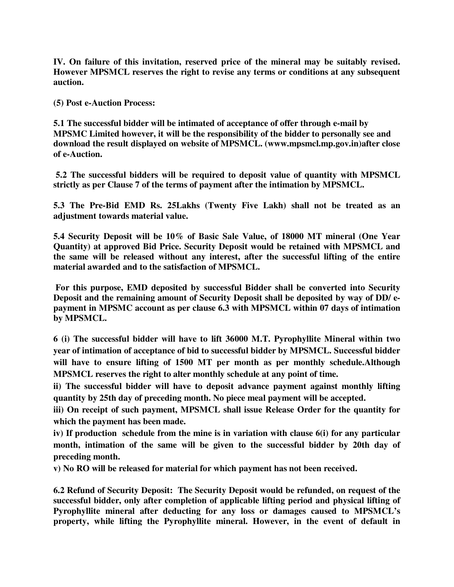**IV. On failure of this invitation, reserved price of the mineral may be suitably revised. However MPSMCL reserves the right to revise any terms or conditions at any subsequent auction.** 

**(5) Post e-Auction Process:** 

**5.1 The successful bidder will be intimated of acceptance of offer through e-mail by MPSMC Limited however, it will be the responsibility of the bidder to personally see and download the result displayed on website of MPSMCL. (www.mpsmcl.mp.gov.in)after close of e-Auction.** 

 **5.2 The successful bidders will be required to deposit value of quantity with MPSMCL strictly as per Clause 7 of the terms of payment after the intimation by MPSMCL.**

**5.3 The Pre-Bid EMD Rs. 25Lakhs (Twenty Five Lakh) shall not be treated as an adjustment towards material value.** 

**5.4 Security Deposit will be 10% of Basic Sale Value, of 18000 MT mineral (One Year Quantity) at approved Bid Price. Security Deposit would be retained with MPSMCL and the same will be released without any interest, after the successful lifting of the entire material awarded and to the satisfaction of MPSMCL.** 

 **For this purpose, EMD deposited by successful Bidder shall be converted into Security Deposit and the remaining amount of Security Deposit shall be deposited by way of DD/ epayment in MPSMC account as per clause 6.3 with MPSMCL within 07 days of intimation by MPSMCL.**

**6 (i) The successful bidder will have to lift 36000 M.T. Pyrophyllite Mineral within two year of intimation of acceptance of bid to successful bidder by MPSMCL. Successful bidder will have to ensure lifting of 1500 MT per month as per monthly schedule.Although MPSMCL reserves the right to alter monthly schedule at any point of time.** 

**ii) The successful bidder will have to deposit advance payment against monthly lifting quantity by 25th day of preceding month. No piece meal payment will be accepted.** 

**iii) On receipt of such payment, MPSMCL shall issue Release Order for the quantity for which the payment has been made.** 

**iv) If production schedule from the mine is in variation with clause 6(i) for any particular month, intimation of the same will be given to the successful bidder by 20th day of preceding month.** 

**v) No RO will be released for material for which payment has not been received.** 

**6.2 Refund of Security Deposit: The Security Deposit would be refunded, on request of the successful bidder, only after completion of applicable lifting period and physical lifting of Pyrophyllite mineral after deducting for any loss or damages caused to MPSMCL's property, while lifting the Pyrophyllite mineral. However, in the event of default in**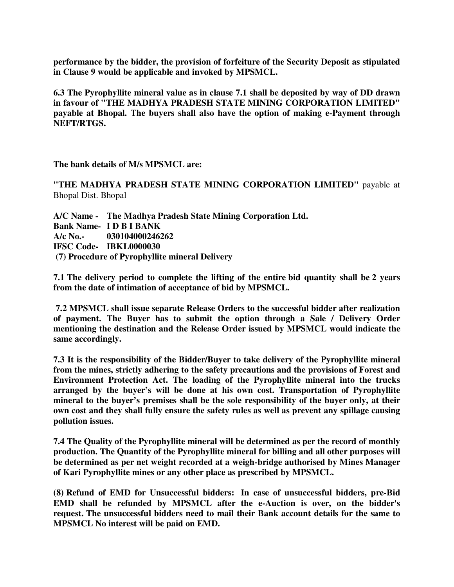**performance by the bidder, the provision of forfeiture of the Security Deposit as stipulated in Clause 9 would be applicable and invoked by MPSMCL.** 

**6.3 The Pyrophyllite mineral value as in clause 7.1 shall be deposited by way of DD drawn in favour of "THE MADHYA PRADESH STATE MINING CORPORATION LIMITED" payable at Bhopal. The buyers shall also have the option of making e-Payment through NEFT/RTGS.** 

**The bank details of M/s MPSMCL are:** 

**"THE MADHYA PRADESH STATE MINING CORPORATION LIMITED"** payable at Bhopal Dist. Bhopal

**A/C Name - The Madhya Pradesh State Mining Corporation Ltd. Bank Name- I D B I BANK A/c No.- 030104000246262 IFSC Code- IBKL0000030 (7) Procedure of Pyrophyllite mineral Delivery** 

**7.1 The delivery period to complete the lifting of the entire bid quantity shall be 2 years from the date of intimation of acceptance of bid by MPSMCL.** 

 **7.2 MPSMCL shall issue separate Release Orders to the successful bidder after realization of payment. The Buyer has to submit the option through a Sale / Delivery Order mentioning the destination and the Release Order issued by MPSMCL would indicate the same accordingly.** 

**7.3 It is the responsibility of the Bidder/Buyer to take delivery of the Pyrophyllite mineral from the mines, strictly adhering to the safety precautions and the provisions of Forest and Environment Protection Act. The loading of the Pyrophyllite mineral into the trucks arranged by the buyer's will be done at his own cost. Transportation of Pyrophyllite mineral to the buyer's premises shall be the sole responsibility of the buyer only, at their own cost and they shall fully ensure the safety rules as well as prevent any spillage causing pollution issues.**

**7.4 The Quality of the Pyrophyllite mineral will be determined as per the record of monthly production. The Quantity of the Pyrophyllite mineral for billing and all other purposes will be determined as per net weight recorded at a weigh-bridge authorised by Mines Manager of Kari Pyrophyllite mines or any other place as prescribed by MPSMCL.** 

**(8) Refund of EMD for Unsuccessful bidders: In case of unsuccessful bidders, pre-Bid EMD shall be refunded by MPSMCL after the e-Auction is over, on the bidder's request. The unsuccessful bidders need to mail their Bank account details for the same to MPSMCL No interest will be paid on EMD.**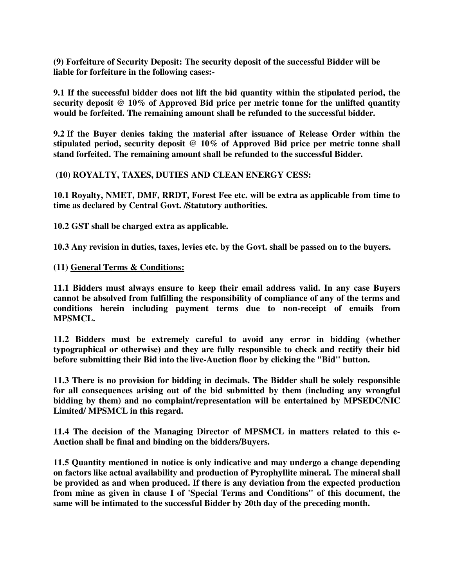**(9) Forfeiture of Security Deposit: The security deposit of the successful Bidder will be liable for forfeiture in the following cases:-**

**9.1 If the successful bidder does not lift the bid quantity within the stipulated period, the security deposit @ 10% of Approved Bid price per metric tonne for the unlifted quantity would be forfeited. The remaining amount shall be refunded to the successful bidder.**

**9.2 If the Buyer denies taking the material after issuance of Release Order within the stipulated period, security deposit @ 10% of Approved Bid price per metric tonne shall stand forfeited. The remaining amount shall be refunded to the successful Bidder.**

 **(10) ROYALTY, TAXES, DUTIES AND CLEAN ENERGY CESS:** 

**10.1 Royalty, NMET, DMF, RRDT, Forest Fee etc. will be extra as applicable from time to time as declared by Central Govt. /Statutory authorities.** 

**10.2 GST shall be charged extra as applicable.** 

**10.3 Any revision in duties, taxes, levies etc. by the Govt. shall be passed on to the buyers.**

**(11) General Terms & Conditions:**

**11.1 Bidders must always ensure to keep their email address valid. In any case Buyers cannot be absolved from fulfilling the responsibility of compliance of any of the terms and conditions herein including payment terms due to non-receipt of emails from MPSMCL.**

**11.2 Bidders must be extremely careful to avoid any error in bidding (whether typographical or otherwise) and they are fully responsible to check and rectify their bid before submitting their Bid into the live-Auction floor by clicking the "Bid" button.**

**11.3 There is no provision for bidding in decimals. The Bidder shall be solely responsible for all consequences arising out of the bid submitted by them (including any wrongful bidding by them) and no complaint/representation will be entertained by MPSEDC/NIC Limited/ MPSMCL in this regard.**

**11.4 The decision of the Managing Director of MPSMCL in matters related to this e-Auction shall be final and binding on the bidders/Buyers.**

**11.5 Quantity mentioned in notice is only indicative and may undergo a change depending on factors like actual availability and production of Pyrophyllite mineral. The mineral shall be provided as and when produced. If there is any deviation from the expected production from mine as given in clause I of 'Special Terms and Conditions" of this document, the same will be intimated to the successful Bidder by 20th day of the preceding month.**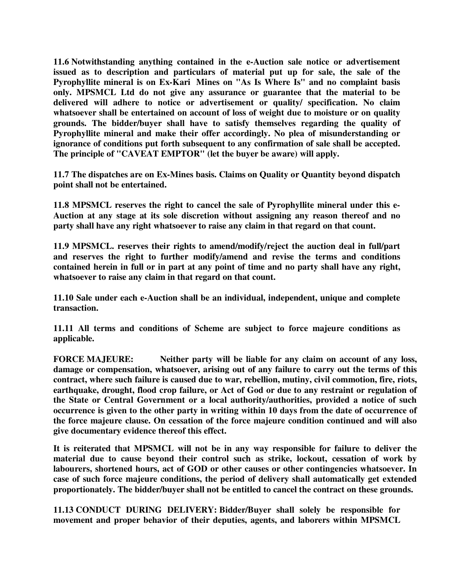**11.6 Notwithstanding anything contained in the e-Auction sale notice or advertisement issued as to description and particulars of material put up for sale, the sale of the Pyrophyllite mineral is on Ex-Kari Mines on "As Is Where Is" and no complaint basis only. MPSMCL Ltd do not give any assurance or guarantee that the material to be delivered will adhere to notice or advertisement or quality/ specification. No claim whatsoever shall be entertained on account of loss of weight due to moisture or on quality grounds. The bidder/buyer shall have to satisfy themselves regarding the quality of Pyrophyllite mineral and make their offer accordingly. No plea of misunderstanding or ignorance of conditions put forth subsequent to any confirmation of sale shall be accepted. The principle of "CAVEAT EMPTOR" (let the buyer be aware) will apply.**

**11.7 The dispatches are on Ex-Mines basis. Claims on Quality or Quantity beyond dispatch point shall not be entertained.**

**11.8 MPSMCL reserves the right to cancel the sale of Pyrophyllite mineral under this e-Auction at any stage at its sole discretion without assigning any reason thereof and no party shall have any right whatsoever to raise any claim in that regard on that count.**

**11.9 MPSMCL. reserves their rights to amend/modify/reject the auction deal in full/part and reserves the right to further modify/amend and revise the terms and conditions contained herein in full or in part at any point of time and no party shall have any right, whatsoever to raise any claim in that regard on that count.**

**11.10 Sale under each e-Auction shall be an individual, independent, unique and complete transaction.**

**11.11 All terms and conditions of Scheme are subject to force majeure conditions as applicable.** 

**FORCE MAJEURE: Neither party will be liable for any claim on account of any loss, damage or compensation, whatsoever, arising out of any failure to carry out the terms of this contract, where such failure is caused due to war, rebellion, mutiny, civil commotion, fire, riots, earthquake, drought, flood crop failure, or Act of God or due to any restraint or regulation of the State or Central Government or a local authority/authorities, provided a notice of such occurrence is given to the other party in writing within 10 days from the date of occurrence of the force majeure clause. On cessation of the force majeure condition continued and will also give documentary evidence thereof this effect.** 

**It is reiterated that MPSMCL will not be in any way responsible for failure to deliver the material due to cause beyond their control such as strike, lockout, cessation of work by labourers, shortened hours, act of GOD or other causes or other contingencies whatsoever. In case of such force majeure conditions, the period of delivery shall automatically get extended proportionately. The bidder/buyer shall not be entitled to cancel the contract on these grounds.** 

**11.13 CONDUCT DURING DELIVERY: Bidder/Buyer shall solely be responsible for movement and proper behavior of their deputies, agents, and laborers within MPSMCL**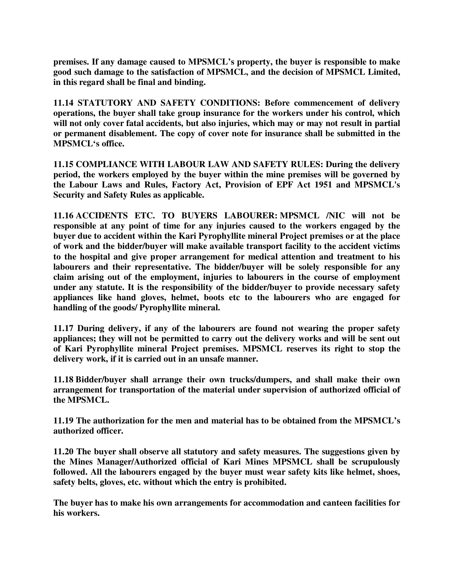**premises. If any damage caused to MPSMCL's property, the buyer is responsible to make good such damage to the satisfaction of MPSMCL, and the decision of MPSMCL Limited, in this regard shall be final and binding.** 

**11.14 STATUTORY AND SAFETY CONDITIONS: Before commencement of delivery operations, the buyer shall take group insurance for the workers under his control, which will not only cover fatal accidents, but also injuries, which may or may not result in partial or permanent disablement. The copy of cover note for insurance shall be submitted in the MPSMCL's office.**

**11.15 COMPLIANCE WITH LABOUR LAW AND SAFETY RULES: During the delivery period, the workers employed by the buyer within the mine premises will be governed by the Labour Laws and Rules, Factory Act, Provision of EPF Act 1951 and MPSMCL's Security and Safety Rules as applicable.**

**11.16 ACCIDENTS ETC. TO BUYERS LABOURER: MPSMCL /NIC will not be responsible at any point of time for any injuries caused to the workers engaged by the buyer due to accident within the Kari Pyrophyllite mineral Project premises or at the place of work and the bidder/buyer will make available transport facility to the accident victims to the hospital and give proper arrangement for medical attention and treatment to his labourers and their representative. The bidder/buyer will be solely responsible for any claim arising out of the employment, injuries to labourers in the course of employment under any statute. It is the responsibility of the bidder/buyer to provide necessary safety appliances like hand gloves, helmet, boots etc to the labourers who are engaged for handling of the goods/ Pyrophyllite mineral.** 

**11.17 During delivery, if any of the labourers are found not wearing the proper safety appliances; they will not be permitted to carry out the delivery works and will be sent out of Kari Pyrophyllite mineral Project premises. MPSMCL reserves its right to stop the delivery work, if it is carried out in an unsafe manner.** 

**11.18 Bidder/buyer shall arrange their own trucks/dumpers, and shall make their own arrangement for transportation of the material under supervision of authorized official of the MPSMCL.**

**11.19 The authorization for the men and material has to be obtained from the MPSMCL's authorized officer.** 

**11.20 The buyer shall observe all statutory and safety measures. The suggestions given by the Mines Manager/Authorized official of Kari Mines MPSMCL shall be scrupulously followed. All the labourers engaged by the buyer must wear safety kits like helmet, shoes, safety belts, gloves, etc. without which the entry is prohibited.** 

**The buyer has to make his own arrangements for accommodation and canteen facilities for his workers.**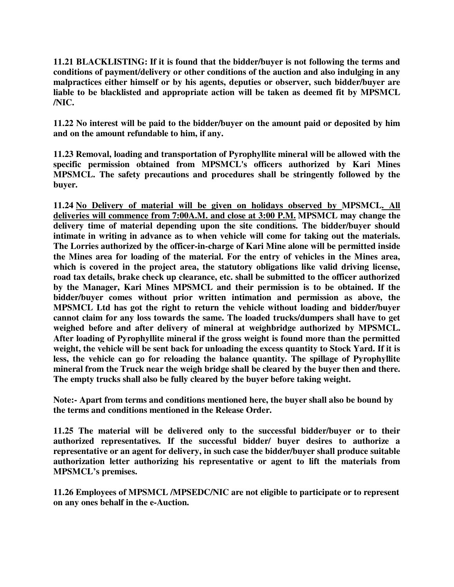**11.21 BLACKLISTING: If it is found that the bidder/buyer is not following the terms and conditions of payment/delivery or other conditions of the auction and also indulging in any malpractices either himself or by his agents, deputies or observer, such bidder/buyer are liable to be blacklisted and appropriate action will be taken as deemed fit by MPSMCL /NIC.**

**11.22 No interest will be paid to the bidder/buyer on the amount paid or deposited by him and on the amount refundable to him, if any.**

**11.23 Removal, loading and transportation of Pyrophyllite mineral will be allowed with the specific permission obtained from MPSMCL's officers authorized by Kari Mines MPSMCL. The safety precautions and procedures shall be stringently followed by the buyer.** 

**11.24 No Delivery of material will be given on holidays observed by MPSMCL. All deliveries will commence from 7:00A.M. and close at 3:00 P.M. MPSMCL may change the delivery time of material depending upon the site conditions. The bidder/buyer should intimate in writing in advance as to when vehicle will come for taking out the materials. The Lorries authorized by the officer-in-charge of Kari Mine alone will be permitted inside the Mines area for loading of the material. For the entry of vehicles in the Mines area, which is covered in the project area, the statutory obligations like valid driving license, road tax details, brake check up clearance, etc. shall be submitted to the officer authorized by the Manager, Kari Mines MPSMCL and their permission is to be obtained. If the bidder/buyer comes without prior written intimation and permission as above, the MPSMCL Ltd has got the right to return the vehicle without loading and bidder/buyer cannot claim for any loss towards the same. The loaded trucks/dumpers shall have to get weighed before and after delivery of mineral at weighbridge authorized by MPSMCL. After loading of Pyrophyllite mineral if the gross weight is found more than the permitted weight, the vehicle will be sent back for unloading the excess quantity to Stock Yard. If it is less, the vehicle can go for reloading the balance quantity. The spillage of Pyrophyllite mineral from the Truck near the weigh bridge shall be cleared by the buyer then and there. The empty trucks shall also be fully cleared by the buyer before taking weight.** 

**Note:- Apart from terms and conditions mentioned here, the buyer shall also be bound by the terms and conditions mentioned in the Release Order.**

**11.25 The material will be delivered only to the successful bidder/buyer or to their authorized representatives. If the successful bidder/ buyer desires to authorize a representative or an agent for delivery, in such case the bidder/buyer shall produce suitable authorization letter authorizing his representative or agent to lift the materials from MPSMCL's premises.**

**11.26 Employees of MPSMCL /MPSEDC/NIC are not eligible to participate or to represent on any ones behalf in the e-Auction.**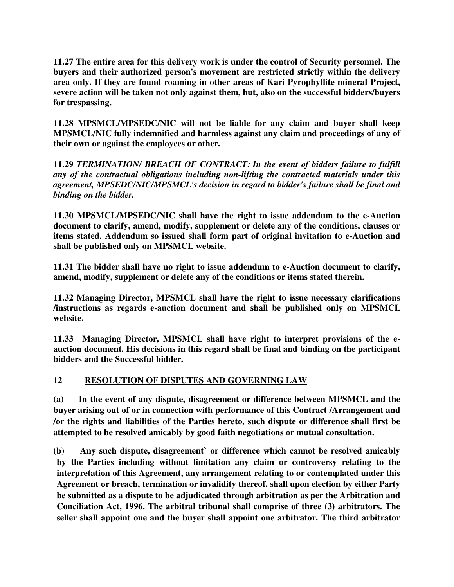**11.27 The entire area for this delivery work is under the control of Security personnel. The buyers and their authorized person's movement are restricted strictly within the delivery area only. If they are found roaming in other areas of Kari Pyrophyllite mineral Project, severe action will be taken not only against them, but, also on the successful bidders/buyers for trespassing.**

**11.28 MPSMCL/MPSEDC/NIC will not be liable for any claim and buyer shall keep MPSMCL/NIC fully indemnified and harmless against any claim and proceedings of any of their own or against the employees or other.** 

**11.29** *TERMINATION/ BREACH OF CONTRACT: In the event of bidders failure to fulfill any of the contractual obligations including non-lifting the contracted materials under this agreement, MPSEDC/NIC/MPSMCL's decision in regard to bidder's failure shall be final and binding on the bidder.* 

**11.30 MPSMCL/MPSEDC/NIC shall have the right to issue addendum to the e-Auction document to clarify, amend, modify, supplement or delete any of the conditions, clauses or items stated. Addendum so issued shall form part of original invitation to e-Auction and shall be published only on MPSMCL website.** 

**11.31 The bidder shall have no right to issue addendum to e-Auction document to clarify, amend, modify, supplement or delete any of the conditions or items stated therein.** 

**11.32 Managing Director, MPSMCL shall have the right to issue necessary clarifications /instructions as regards e-auction document and shall be published only on MPSMCL website.** 

**11.33 Managing Director, MPSMCL shall have right to interpret provisions of the eauction document. His decisions in this regard shall be final and binding on the participant bidders and the Successful bidder.** 

## **12 RESOLUTION OF DISPUTES AND GOVERNING LAW**

**(a) In the event of any dispute, disagreement or difference between MPSMCL and the buyer arising out of or in connection with performance of this Contract /Arrangement and /or the rights and liabilities of the Parties hereto, such dispute or difference shall first be attempted to be resolved amicably by good faith negotiations or mutual consultation.** 

**(b) Any such dispute, disagreement` or difference which cannot be resolved amicably by the Parties including without limitation any claim or controversy relating to the interpretation of this Agreement, any arrangement relating to or contemplated under this Agreement or breach, termination or invalidity thereof, shall upon election by either Party be submitted as a dispute to be adjudicated through arbitration as per the Arbitration and Conciliation Act, 1996. The arbitral tribunal shall comprise of three (3) arbitrators. The seller shall appoint one and the buyer shall appoint one arbitrator. The third arbitrator**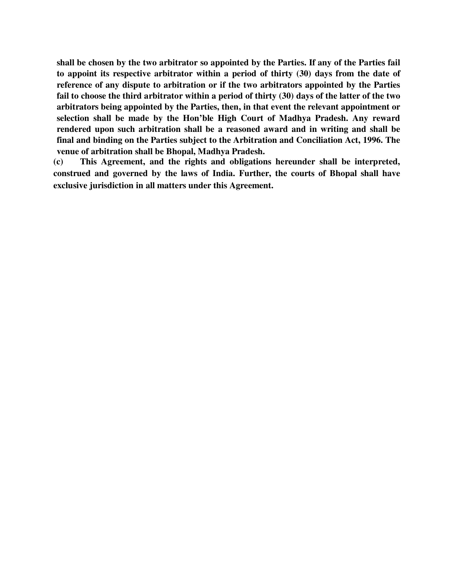**shall be chosen by the two arbitrator so appointed by the Parties. If any of the Parties fail to appoint its respective arbitrator within a period of thirty (30) days from the date of reference of any dispute to arbitration or if the two arbitrators appointed by the Parties fail to choose the third arbitrator within a period of thirty (30) days of the latter of the two arbitrators being appointed by the Parties, then, in that event the relevant appointment or selection shall be made by the Hon'ble High Court of Madhya Pradesh. Any reward rendered upon such arbitration shall be a reasoned award and in writing and shall be final and binding on the Parties subject to the Arbitration and Conciliation Act, 1996. The venue of arbitration shall be Bhopal, Madhya Pradesh.** 

**(c) This Agreement, and the rights and obligations hereunder shall be interpreted, construed and governed by the laws of India. Further, the courts of Bhopal shall have exclusive jurisdiction in all matters under this Agreement.**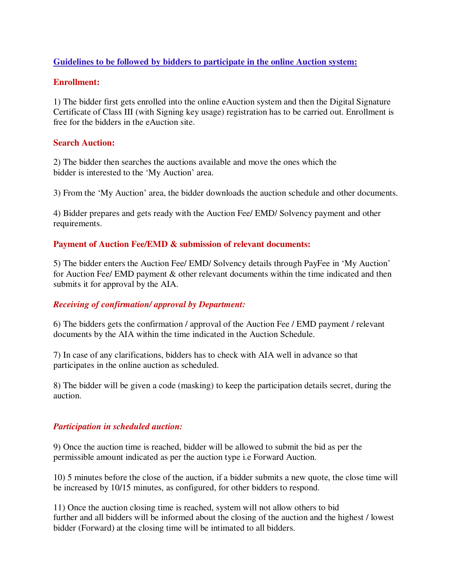## **Guidelines to be followed by bidders to participate in the online Auction system:**

#### **Enrollment:**

1) The bidder first gets enrolled into the online eAuction system and then the Digital Signature Certificate of Class III (with Signing key usage) registration has to be carried out. Enrollment is free for the bidders in the eAuction site.

## **Search Auction:**

2) The bidder then searches the auctions available and move the ones which the bidder is interested to the 'My Auction' area.

3) From the 'My Auction' area, the bidder downloads the auction schedule and other documents.

4) Bidder prepares and gets ready with the Auction Fee/ EMD/ Solvency payment and other requirements.

#### **Payment of Auction Fee/EMD & submission of relevant documents:**

5) The bidder enters the Auction Fee/ EMD/ Solvency details through PayFee in 'My Auction' for Auction Fee/ EMD payment & other relevant documents within the time indicated and then submits it for approval by the AIA.

## *Receiving of confirmation/ approval by Department:*

6) The bidders gets the confirmation / approval of the Auction Fee / EMD payment / relevant documents by the AIA within the time indicated in the Auction Schedule.

7) In case of any clarifications, bidders has to check with AIA well in advance so that participates in the online auction as scheduled.

8) The bidder will be given a code (masking) to keep the participation details secret, during the auction.

#### *Participation in scheduled auction:*

9) Once the auction time is reached, bidder will be allowed to submit the bid as per the permissible amount indicated as per the auction type i.e Forward Auction.

10) 5 minutes before the close of the auction, if a bidder submits a new quote, the close time will be increased by 10/15 minutes, as configured, for other bidders to respond.

11) Once the auction closing time is reached, system will not allow others to bid further and all bidders will be informed about the closing of the auction and the highest / lowest bidder (Forward) at the closing time will be intimated to all bidders.